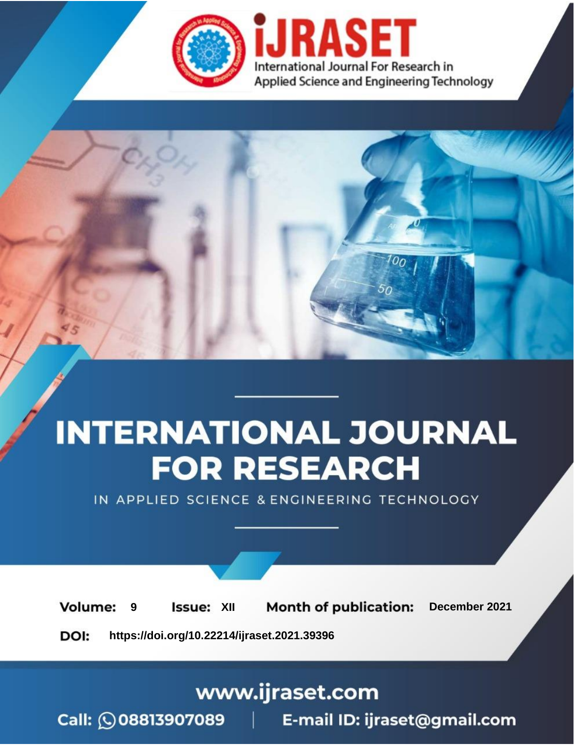

# **INTERNATIONAL JOURNAL FOR RESEARCH**

IN APPLIED SCIENCE & ENGINEERING TECHNOLOGY

**Month of publication: Volume: Issue: XII** December 2021 9 DOI: https://doi.org/10.22214/ijraset.2021.39396

www.ijraset.com

Call: 008813907089 | E-mail ID: ijraset@gmail.com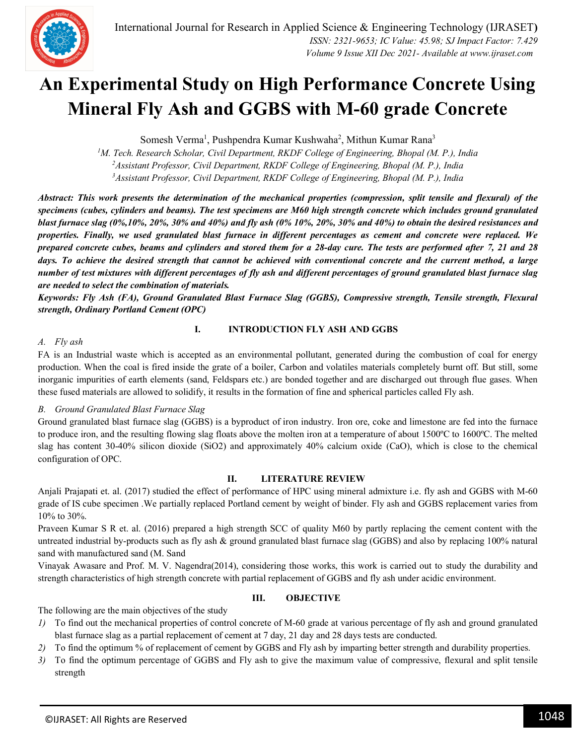

### **An Experimental Study on High Performance Concrete Using Mineral Fly Ash and GGBS with M-60 grade Concrete**

Somesh Verma<sup>1</sup>, Pushpendra Kumar Kushwaha<sup>2</sup>, Mithun Kumar Rana<sup>3</sup>

*<sup>1</sup>M. Tech. Research Scholar, Civil Department, RKDF College of Engineering, Bhopal (M. P.), India <sup>2</sup>Assistant Professor, Civil Department, RKDF College of Engineering, Bhopal (M. P.), India <sup>3</sup>Assistant Professor, Civil Department, RKDF College of Engineering, Bhopal (M. P.), India*

*Abstract: This work presents the determination of the mechanical properties (compression, split tensile and flexural) of the specimens (cubes, cylinders and beams). The test specimens are M60 high strength concrete which includes ground granulated blast furnace slag (0%,10%, 20%, 30% and 40%) and fly ash (0% 10%, 20%, 30% and 40%) to obtain the desired resistances and properties. Finally, we used granulated blast furnace in different percentages as cement and concrete were replaced. We prepared concrete cubes, beams and cylinders and stored them for a 28-day cure. The tests are performed after 7, 21 and 28 days. To achieve the desired strength that cannot be achieved with conventional concrete and the current method, a large number of test mixtures with different percentages of fly ash and different percentages of ground granulated blast furnace slag are needed to select the combination of materials.*

*Keywords: Fly Ash (FA), Ground Granulated Blast Furnace Slag (GGBS), Compressive strength, Tensile strength, Flexural strength, Ordinary Portland Cement (OPC)*

#### *A. Fly ash*

#### **I. INTRODUCTION FLY ASH AND GGBS**

FA is an Industrial waste which is accepted as an environmental pollutant, generated during the combustion of coal for energy production. When the coal is fired inside the grate of a boiler, Carbon and volatiles materials completely burnt off. But still, some inorganic impurities of earth elements (sand, Feldspars etc.) are bonded together and are discharged out through flue gases. When these fused materials are allowed to solidify, it results in the formation of fine and spherical particles called Fly ash.

#### *B. Ground Granulated Blast Furnace Slag*

Ground granulated blast furnace slag (GGBS) is a byproduct of iron industry. Iron ore, coke and limestone are fed into the furnace to produce iron, and the resulting flowing slag floats above the molten iron at a temperature of about 1500ºC to 1600ºC. The melted slag has content 30-40% silicon dioxide (SiO2) and approximately 40% calcium oxide (CaO), which is close to the chemical configuration of OPC.

#### **II. LITERATURE REVIEW**

Anjali Prajapati et. al. (2017) studied the effect of performance of HPC using mineral admixture i.e. fly ash and GGBS with M-60 grade of IS cube specimen .We partially replaced Portland cement by weight of binder. Fly ash and GGBS replacement varies from 10% to 30%.

Praveen Kumar S R et. al. (2016) prepared a high strength SCC of quality M60 by partly replacing the cement content with the untreated industrial by-products such as fly ash & ground granulated blast furnace slag (GGBS) and also by replacing 100% natural sand with manufactured sand (M. Sand

Vinayak Awasare and Prof. M. V. Nagendra(2014), considering those works, this work is carried out to study the durability and strength characteristics of high strength concrete with partial replacement of GGBS and fly ash under acidic environment.

#### **III. OBJECTIVE**

The following are the main objectives of the study

- *1)* To find out the mechanical properties of control concrete of M-60 grade at various percentage of fly ash and ground granulated blast furnace slag as a partial replacement of cement at 7 day, 21 day and 28 days tests are conducted.
- *2)* To find the optimum % of replacement of cement by GGBS and Fly ash by imparting better strength and durability properties.
- *3)* To find the optimum percentage of GGBS and Fly ash to give the maximum value of compressive, flexural and split tensile strength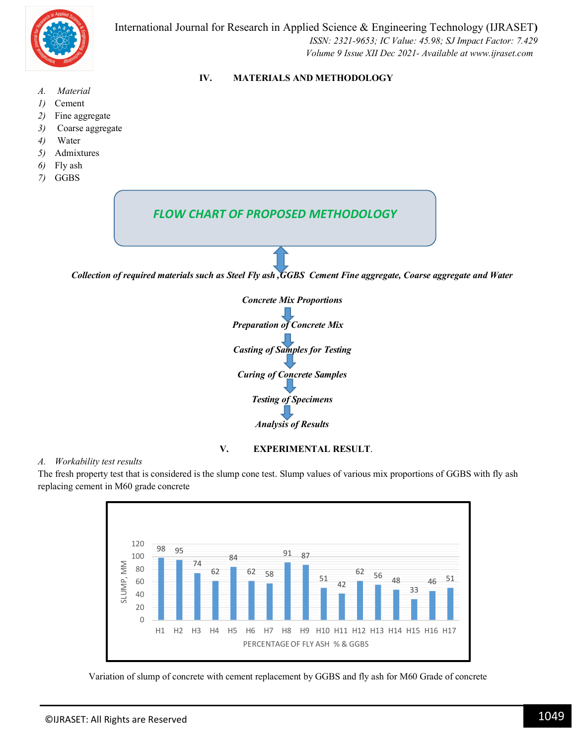

#### **IV. MATERIALS AND METHODOLOGY**

- *A. Material*
- *1)* Cement
- *2)* Fine aggregate
- *3)* Coarse aggregate
- *4)* Water
- *5)* Admixtures
- *6)* Fly ash
- *7)* GGBS





#### **V. EXPERIMENTAL RESULT**.

#### *A. Workability test results*

The fresh property test that is considered is the slump cone test. Slump values of various mix proportions of GGBS with fly ash replacing cement in M60 grade concrete



Variation of slump of concrete with cement replacement by GGBS and fly ash for M60 Grade of concrete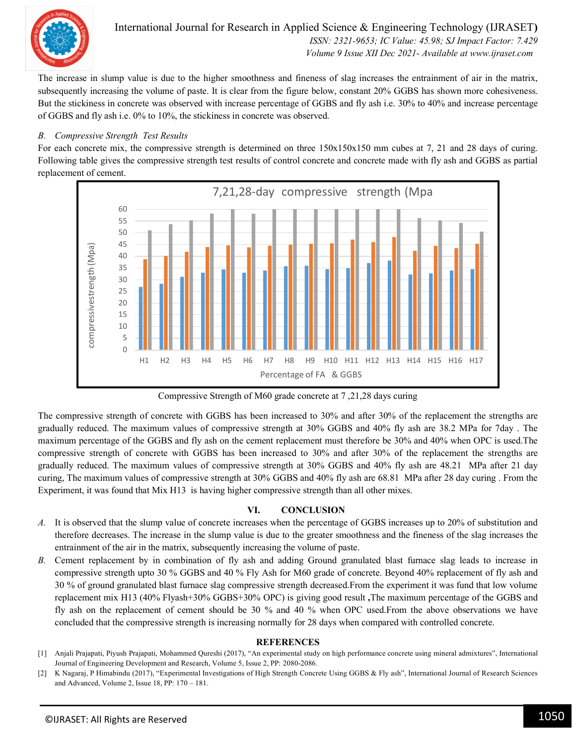

International Journal for Research in Applied Science & Engineering Technology (IJRASET**)**  *ISSN: 2321-9653; IC Value: 45.98; SJ Impact Factor: 7.429 Volume 9 Issue XII Dec 2021- Available at www.ijraset.com*

The increase in slump value is due to the higher smoothness and fineness of slag increases the entrainment of air in the matrix, subsequently increasing the volume of paste. It is clear from the figure below, constant 20% GGBS has shown more cohesiveness. But the stickiness in concrete was observed with increase percentage of GGBS and fly ash i.e. 30% to 40% and increase percentage of GGBS and fly ash i.e. 0% to 10%, the stickiness in concrete was observed.

#### *B. Compressive Strength Test Results*

For each concrete mix, the compressive strength is determined on three  $150x150x150$  mm cubes at 7, 21 and 28 days of curing. Following table gives the compressive strength test results of control concrete and concrete made with fly ash and GGBS as partial replacement of cement.



Compressive Strength of M60 grade concrete at 7 ,21,28 days curing

The compressive strength of concrete with GGBS has been increased to 30% and after 30% of the replacement the strengths are gradually reduced. The maximum values of compressive strength at 30% GGBS and 40% fly ash are 38.2 MPa for 7day . The maximum percentage of the GGBS and fly ash on the cement replacement must therefore be 30% and 40% when OPC is used.The compressive strength of concrete with GGBS has been increased to 30% and after 30% of the replacement the strengths are gradually reduced. The maximum values of compressive strength at 30% GGBS and 40% fly ash are 48.21 MPa after 21 day curing, The maximum values of compressive strength at 30% GGBS and 40% fly ash are 68.81 MPa after 28 day curing . From the Experiment, it was found that Mix H13 is having higher compressive strength than all other mixes.

#### **VI. CONCLUSION**

- *A.* It is observed that the slump value of concrete increases when the percentage of GGBS increases up to 20% of substitution and therefore decreases. The increase in the slump value is due to the greater smoothness and the fineness of the slag increases the entrainment of the air in the matrix, subsequently increasing the volume of paste.
- *B.* Cement replacement by in combination of fly ash and adding Ground granulated blast furnace slag leads to increase in compressive strength upto 30 % GGBS and 40 % Fly Ash for M60 grade of concrete. Beyond 40% replacement of fly ash and 30 % of ground granulated blast furnace slag compressive strength decreased.From the experiment it was fund that low volume replacement mix H13 (40% Flyash+30% GGBS+30% OPC) is giving good result **,**The maximum percentage of the GGBS and fly ash on the replacement of cement should be 30 % and 40 % when OPC used.From the above observations we have concluded that the compressive strength is increasing normally for 28 days when compared with controlled concrete.

#### **REFERENCES**

- [1] Anjali Prajapati, Piyush Prajapati, Mohammed Qureshi (2017), "An experimental study on high performance concrete using mineral admixtures", International Journal of Engineering Development and Research, Volume 5, Issue 2, PP: 2080-2086.
- [2] K Nagaraj, P Himabindu (2017), "Experimental Investigations of High Strength Concrete Using GGBS & Fly ash", International Journal of Research Sciences and Advanced, Volume 2, Issue 18, PP: 170 – 181.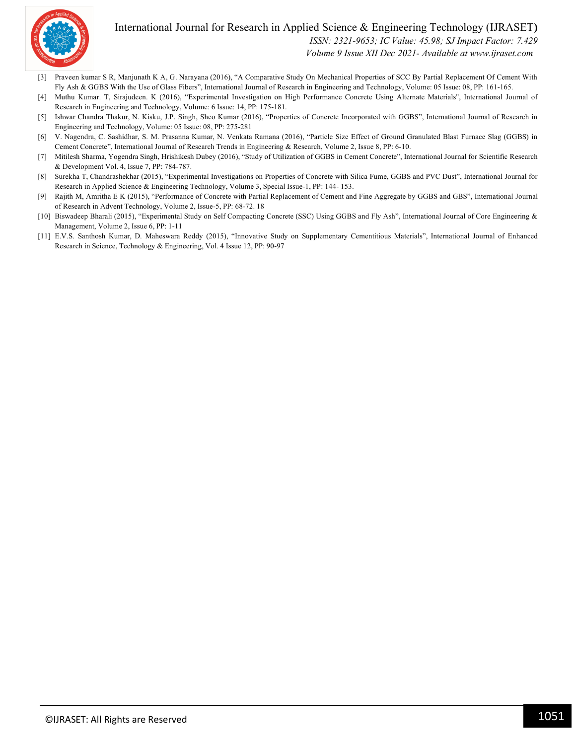

#### International Journal for Research in Applied Science & Engineering Technology (IJRASET**)**  *ISSN: 2321-9653; IC Value: 45.98; SJ Impact Factor: 7.429*

 *Volume 9 Issue XII Dec 2021- Available at www.ijraset.com*

- [3] Praveen kumar S R, Manjunath K A, G. Narayana (2016), "A Comparative Study On Mechanical Properties of SCC By Partial Replacement Of Cement With Fly Ash & GGBS With the Use of Glass Fibers", International Journal of Research in Engineering and Technology, Volume: 05 Issue: 08, PP: 161-165.
- [4] Muthu Kumar. T, Sirajudeen. K (2016), "Experimental Investigation on High Performance Concrete Using Alternate Materials", International Journal of Research in Engineering and Technology, Volume: 6 Issue: 14, PP: 175-181.
- [5] Ishwar Chandra Thakur, N. Kisku, J.P. Singh, Sheo Kumar (2016), "Properties of Concrete Incorporated with GGBS", International Journal of Research in Engineering and Technology, Volume: 05 Issue: 08, PP: 275-281
- [6] V. Nagendra, C. Sashidhar, S. M. Prasanna Kumar, N. Venkata Ramana (2016), "Particle Size Effect of Ground Granulated Blast Furnace Slag (GGBS) in Cement Concrete", International Journal of Research Trends in Engineering & Research, Volume 2, Issue 8, PP: 6-10.
- [7] Mitilesh Sharma, Yogendra Singh, Hrishikesh Dubey (2016), "Study of Utilization of GGBS in Cement Concrete", International Journal for Scientific Research & Development Vol. 4, Issue 7, PP: 784-787.
- [8] Surekha T, Chandrashekhar (2015), "Experimental Investigations on Properties of Concrete with Silica Fume, GGBS and PVC Dust", International Journal for Research in Applied Science & Engineering Technology, Volume 3, Special Issue-1, PP: 144- 153.
- [9] Rajith M, Amritha E K (2015), "Performance of Concrete with Partial Replacement of Cement and Fine Aggregate by GGBS and GBS", International Journal of Research in Advent Technology, Volume 2, Issue-5, PP: 68-72. 18
- [10] Biswadeep Bharali (2015), "Experimental Study on Self Compacting Concrete (SSC) Using GGBS and Fly Ash", International Journal of Core Engineering & Management, Volume 2, Issue 6, PP: 1-11
- [11] E.V.S. Santhosh Kumar, D. Maheswara Reddy (2015), "Innovative Study on Supplementary Cementitious Materials", International Journal of Enhanced Research in Science, Technology & Engineering, Vol. 4 Issue 12, PP: 90-97